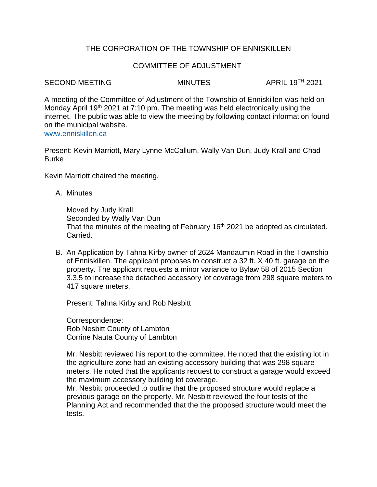# THE CORPORATION OF THE TOWNSHIP OF ENNISKILLEN

## COMMITTEE OF ADJUSTMENT

#### SECOND MEETING MINUTES APRIL 19TH 2021

A meeting of the Committee of Adjustment of the Township of Enniskillen was held on Monday April 19<sup>th</sup> 2021 at 7:10 pm. The meeting was held electronically using the internet. The public was able to view the meeting by following contact information found on the municipal website. [www.enniskillen.ca](http://www.enniskillen.ca/)

Present: Kevin Marriott, Mary Lynne McCallum, Wally Van Dun, Judy Krall and Chad **Burke** 

Kevin Marriott chaired the meeting.

A. Minutes

Moved by Judy Krall Seconded by Wally Van Dun That the minutes of the meeting of February 16<sup>th</sup> 2021 be adopted as circulated. Carried.

B. An Application by Tahna Kirby owner of 2624 Mandaumin Road in the Township of Enniskillen. The applicant proposes to construct a 32 ft. X 40 ft. garage on the property. The applicant requests a minor variance to Bylaw 58 of 2015 Section 3.3.5 to increase the detached accessory lot coverage from 298 square meters to 417 square meters.

Present: Tahna Kirby and Rob Nesbitt

Correspondence: Rob Nesbitt County of Lambton Corrine Nauta County of Lambton

Mr. Nesbitt reviewed his report to the committee. He noted that the existing lot in the agriculture zone had an existing accessory building that was 298 square meters. He noted that the applicants request to construct a garage would exceed the maximum accessory building lot coverage.

Mr. Nesbitt proceeded to outline that the proposed structure would replace a previous garage on the property. Mr. Nesbitt reviewed the four tests of the Planning Act and recommended that the the proposed structure would meet the tests.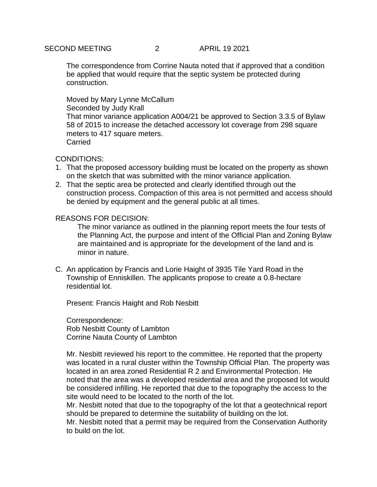The correspondence from Corrine Nauta noted that if approved that a condition be applied that would require that the septic system be protected during construction.

Moved by Mary Lynne McCallum Seconded by Judy Krall That minor variance application A004/21 be approved to Section 3.3.5 of Bylaw 58 of 2015 to increase the detached accessory lot coverage from 298 square meters to 417 square meters. **Carried** 

### CONDITIONS:

- 1. That the proposed accessory building must be located on the property as shown on the sketch that was submitted with the minor variance application.
- 2. That the septic area be protected and clearly identified through out the construction process. Compaction of this area is not permitted and access should be denied by equipment and the general public at all times.

#### REASONS FOR DECISION:

The minor variance as outlined in the planning report meets the four tests of the Planning Act, the purpose and intent of the Official Plan and Zoning Bylaw are maintained and is appropriate for the development of the land and is minor in nature.

C. An application by Francis and Lorie Haight of 3935 Tile Yard Road in the Township of Enniskillen. The applicants propose to create a 0.8-hectare residential lot.

Present: Francis Haight and Rob Nesbitt

Correspondence: Rob Nesbitt County of Lambton Corrine Nauta County of Lambton

Mr. Nesbitt reviewed his report to the committee. He reported that the property was located in a rural cluster within the Township Official Plan. The property was located in an area zoned Residential R 2 and Environmental Protection. He noted that the area was a developed residential area and the proposed lot would be considered infilling. He reported that due to the topography the access to the site would need to be located to the north of the lot.

Mr. Nesbitt noted that due to the topography of the lot that a geotechnical report should be prepared to determine the suitability of building on the lot.

Mr. Nesbitt noted that a permit may be required from the Conservation Authority to build on the lot.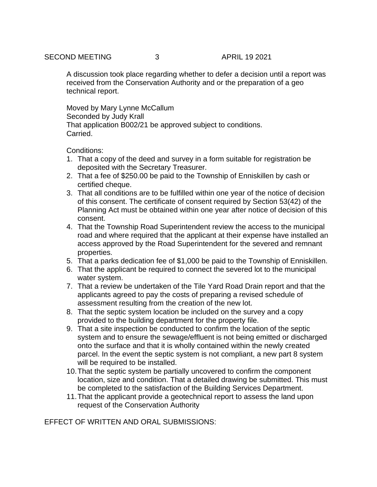A discussion took place regarding whether to defer a decision until a report was received from the Conservation Authority and or the preparation of a geo technical report.

Moved by Mary Lynne McCallum Seconded by Judy Krall That application B002/21 be approved subject to conditions. Carried.

Conditions:

- 1. That a copy of the deed and survey in a form suitable for registration be deposited with the Secretary Treasurer.
- 2. That a fee of \$250.00 be paid to the Township of Enniskillen by cash or certified cheque.
- 3. That all conditions are to be fulfilled within one year of the notice of decision of this consent. The certificate of consent required by Section 53(42) of the Planning Act must be obtained within one year after notice of decision of this consent.
- 4. That the Township Road Superintendent review the access to the municipal road and where required that the applicant at their expense have installed an access approved by the Road Superintendent for the severed and remnant properties.
- 5. That a parks dedication fee of \$1,000 be paid to the Township of Enniskillen.
- 6. That the applicant be required to connect the severed lot to the municipal water system.
- 7. That a review be undertaken of the Tile Yard Road Drain report and that the applicants agreed to pay the costs of preparing a revised schedule of assessment resulting from the creation of the new lot.
- 8. That the septic system location be included on the survey and a copy provided to the building department for the property file.
- 9. That a site inspection be conducted to confirm the location of the septic system and to ensure the sewage/effluent is not being emitted or discharged onto the surface and that it is wholly contained within the newly created parcel. In the event the septic system is not compliant, a new part 8 system will be required to be installed.
- 10.That the septic system be partially uncovered to confirm the component location, size and condition. That a detailed drawing be submitted. This must be completed to the satisfaction of the Building Services Department.
- 11.That the applicant provide a geotechnical report to assess the land upon request of the Conservation Authority

EFFECT OF WRITTEN AND ORAL SUBMISSIONS: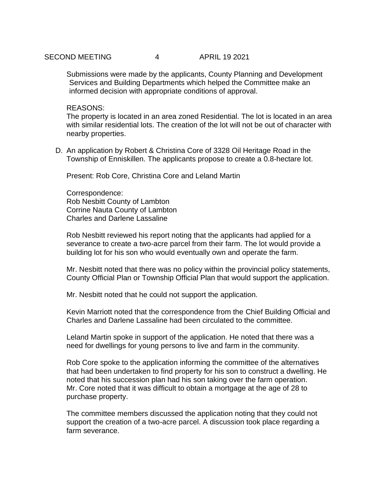Submissions were made by the applicants, County Planning and Development Services and Building Departments which helped the Committee make an informed decision with appropriate conditions of approval.

#### REASONS:

The property is located in an area zoned Residential. The lot is located in an area with similar residential lots. The creation of the lot will not be out of character with nearby properties.

D. An application by Robert & Christina Core of 3328 Oil Heritage Road in the Township of Enniskillen. The applicants propose to create a 0.8-hectare lot.

Present: Rob Core, Christina Core and Leland Martin

Correspondence: Rob Nesbitt County of Lambton Corrine Nauta County of Lambton Charles and Darlene Lassaline

Rob Nesbitt reviewed his report noting that the applicants had applied for a severance to create a two-acre parcel from their farm. The lot would provide a building lot for his son who would eventually own and operate the farm.

Mr. Nesbitt noted that there was no policy within the provincial policy statements, County Official Plan or Township Official Plan that would support the application.

Mr. Nesbitt noted that he could not support the application.

Kevin Marriott noted that the correspondence from the Chief Building Official and Charles and Darlene Lassaline had been circulated to the committee.

Leland Martin spoke in support of the application. He noted that there was a need for dwellings for young persons to live and farm in the community.

Rob Core spoke to the application informing the committee of the alternatives that had been undertaken to find property for his son to construct a dwelling. He noted that his succession plan had his son taking over the farm operation. Mr. Core noted that it was difficult to obtain a mortgage at the age of 28 to purchase property.

The committee members discussed the application noting that they could not support the creation of a two-acre parcel. A discussion took place regarding a farm severance.